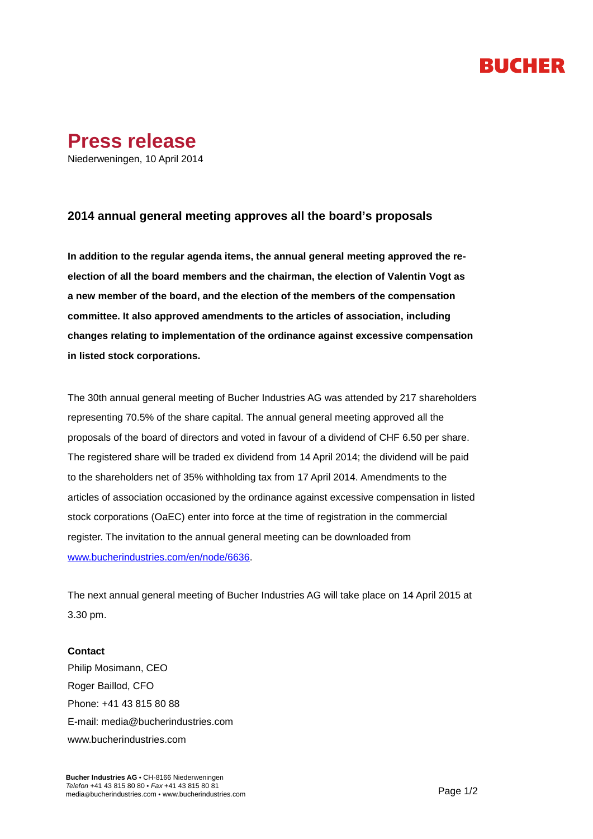## RUCHER



## **2014 annual general meeting approves all the board's proposals**

**In addition to the regular agenda items, the annual general meeting approved the reelection of all the board members and the chairman, the election of Valentin Vogt as a new member of the board, and the election of the members of the compensation committee. It also approved amendments to the articles of association, including changes relating to implementation of the ordinance against excessive compensation in listed stock corporations.**

The 30th annual general meeting of Bucher Industries AG was attended by 217 shareholders representing 70.5% of the share capital. The annual general meeting approved all the proposals of the board of directors and voted in favour of a dividend of CHF 6.50 per share. The registered share will be traded ex dividend from 14 April 2014; the dividend will be paid to the shareholders net of 35% withholding tax from 17 April 2014. Amendments to the articles of association occasioned by the ordinance against excessive compensation in listed stock corporations (OaEC) enter into force at the time of registration in the commercial register. The invitation to the annual general meeting can be downloaded from [www.bucherindustries.com/en/node/6636.](http://www.bucherindustries.com/en/node/6636)

The next annual general meeting of Bucher Industries AG will take place on 14 April 2015 at 3.30 pm.

## **Contact**

Philip Mosimann, CEO Roger Baillod, CFO Phone: +41 43 815 80 88 E-mail: [media@bucherindustries.com](mailto:media@bucherindustries.com) [www.bucherindustries.com](http://www.bucherindustries.com/)